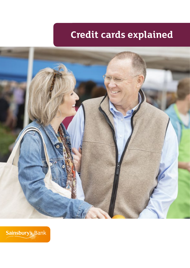# **Credit cards explained**



Sainsbury's Bank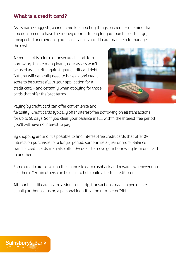### **What is a credit card?**

As its name suggests, a credit card lets you buy things on credit – meaning that you don't need to have the money upfront to pay for your purchases. If large, unexpected or emergency purchases arise, a credit card may help to manage the cost.

A credit card is a form of unsecured, short-term borrowing. Unlike many loans, your assets won't be used as security against your credit card debt. But you will generally need to have a good credit score to be successful in your application for a credit card – and certainly when applying for those cards that offer the best terms.



Paying by credit card can offer convenience and

flexibility. Credit cards typically offer interest-free borrowing on all transactions for up to 56 days. So if you clear your balance in full within the interest free period you'll will have no interest to pay.

By shopping around, it's possible to find interest-free credit cards that offer 0% interest on purchases for a longer period, sometimes a year or more. Balance transfer credit cards may also offer 0% deals to move your borrowing from one card to another.

Some credit cards give you the chance to earn cashback and rewards whenever you use them. Certain others can be used to help build a better credit score.

Although credit cards carry a signature strip, transactions made in person are usually authorised using a personal identification number or PIN.

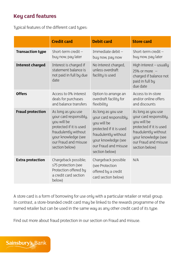# **Key card features**

Typical features of the different card types:

|                         | <b>Credit card</b>                                                                                      | <b>Debit card</b>                                                                    | <b>Store card</b>                                                                                   |
|-------------------------|---------------------------------------------------------------------------------------------------------|--------------------------------------------------------------------------------------|-----------------------------------------------------------------------------------------------------|
| <b>Transaction type</b> | Short-term credit $-$                                                                                   | Immediate debit-                                                                     | Short-term credit $-$                                                                               |
|                         | buy now, pay later                                                                                      | buy now, pay now                                                                     | buy now, pay later                                                                                  |
| <b>Interest charged</b> | Interest is charged if<br>statement balance is<br>not paid in full by due<br>date                       | No interest charged,<br>unless overdraft<br>facility is used                         | High interest - usually<br>25% or more $-$<br>charged if balance not<br>paid in full by<br>due date |
| <b>Offers</b>           | Access to 0% interest                                                                                   | Option to arrange an                                                                 | Access to in-store                                                                                  |
|                         | deals for purchases                                                                                     | overdraft facility for                                                               | and/or online offers                                                                                |
|                         | and balance transfers                                                                                   | flexibility                                                                          | and discounts                                                                                       |
| <b>Fraud protection</b> | As long as you use                                                                                      | As long as you use                                                                   | As long as you use                                                                                  |
|                         | your card responsibly,                                                                                  | your card responsibly,                                                               | your card responsibly,                                                                              |
|                         | you will be                                                                                             | you will be                                                                          | you will be                                                                                         |
|                         | protected if it is used                                                                                 | protected if it is used                                                              | protected if it is used                                                                             |
|                         | fraudulently without                                                                                    | fraudulently without                                                                 | fraudulently without                                                                                |
|                         | your knowledge (see                                                                                     | your knowledge (see                                                                  | your knowledge (see                                                                                 |
|                         | our Fraud and misuse                                                                                    | our Fraud and misuse                                                                 | our Fraud and misuse                                                                                |
|                         | section below)                                                                                          | section below)                                                                       | section below)                                                                                      |
| <b>Extra protection</b> | Chargeback possible;<br>s75 protection (see<br>Protection offered by<br>a credit card section<br>below) | Chargeback possible<br>(see Protection<br>offered by a credit<br>card section below) | N/A                                                                                                 |

A store card is a form of borrowing for use only with a particular retailer or retail group. In contrast, a store-branded credit card may be linked to the rewards programme of the named retailer but can be used in the same way as any other credit card of its type.

Find out more about fraud protection in our section on Fraud and misuse.

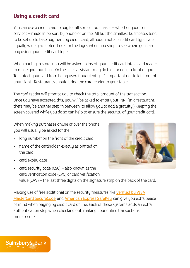# **Using a credit card**

You can use a credit card to pay for all sorts of purchases – whether goods or services – made in person, by phone or online. All but the smallest businesses tend to be set up to take payment by credit card, although not all credit card types are equally widely accepted. Look for the logos when you shop to see where you can pay using your credit card type.

When paying in store, you will be asked to insert your credit card into a card reader to make your purchase. Or the sales assistant may do this for you, in front of you. To protect your card from being used fraudulently, it's important not to let it out of your sight. Restaurants should bring the card reader to your table.

The card reader will prompt you to check the total amount of the transaction. Once you have accepted this, you will be asked to enter your PIN. (In a restaurant, there may be another step in between, to allow you to add a gratuity.) Keeping the screen covered while you do so can help to ensure the security of your credit card.

When making purchases online or over the phone, you will usually be asked for the:

- long number on the front of the credit card
- name of the cardholder, exactly as printed on the card
- card expiry date
- card security code (CSC) also known as the card verification code (CVC) or card verification value (CVV) – the last three digits on the signature strip on the back of the card.

Making use of free additional online security measures like [Verified by VISA](http://www.visa.co.uk/products/protection-benefits/verified-by-visa/how-to-use-verified-by-visa), [MasterCard SecureCode](http://www.mastercard.co.uk/securecode.html) and [American Express SafeKey](http://www.americanexpress.com/uk/content/membership-benefits-cardmember/american-express-safekey.html) can give you extra peace of mind when paying by credit card online. Each of these systems adds an extra authentication step when checking out, making your online transactions more secure.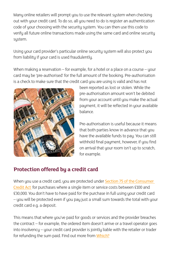Many online retailers will prompt you to use the relevant system when checking out with your credit card. To do so, all you need to do is register an authentication code of your choosing with the security system. You can then use this code to verify all future online transactions made using the same card and online security system.

Using your card provider's particular online security system will also protect you from liability if your card is used fraudulently.

When making a reservation – for example, for a hotel or a place on a course – your card may be 'pre-authorised' for the full amount of the booking. Pre-authorisation is a check to make sure that the credit card you are using is valid and has not



been reported as lost or stolen. While the pre-authorisation amount won't be debited from your account until you make the actual payment, it will be reflected in your available balance.

Pre-authorisation is useful because it means that both parties know in advance that you have the available funds to pay. You can still withhold final payment, however, if you find on arrival that your room isn't up to scratch. for example.

# **Protection offered by a credit card**

When you use a credit card, you are protected under [Section 75 of the Consumer](http://www.legislation.gov.uk/ukpga/1974/39/section/75)  [Credit Act](http://www.legislation.gov.uk/ukpga/1974/39/section/75) for purchases where a single item or service costs between £100 and £30,000. You don't have to have paid for the purchase in full using your credit card – you will be protected even if you pay just a small sum towards the total with your credit card e.g. a deposit.

This means that where you've paid for goods or services and the provider breaches the contract – for example, the ordered item doesn't arrive or a travel operator goes into insolvency – your credit card provider is jointly liable with the retailer or trader for refunding the sum paid. Find out more from [Which?](http://www.which.co.uk/consumer-rights/regulation/section-75-of-the-consumer-credit-act)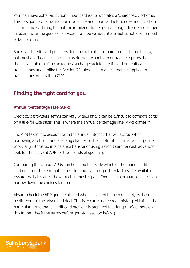You may have extra protection if your card issuer operates a 'chargeback' scheme. This lets you have a transaction reversed – and your card refunded – under certain circumstances. It may be that the retailer or trader you've bought from is no longer in business, or the goods or services that you've bought are faulty, not as described or fail to turn up.

Banks and credit card providers don't need to offer a chargeback scheme by law, but most do. It can be especially useful where a retailer or trader disputes that there is a problem. You can request a chargeback for credit card or debit card transactions and, unlike the Section 75 rules, a chargeback may be applied to transactions of less than £100.

# **Finding the right card for you**

### **Annual percentage rate (APR)**

Credit card providers' terms can vary widely and it can be difficult to compare cards on a like-for-like basis. This is where the annual percentage rate (APR) comes in.

The APR takes into account both the annual interest that will accrue when borrowing a set sum and also any charges such as upfront fees involved. If you're especially interested in a balance transfer or using a credit card for cash advances, look for the relevant APR for these kinds of spending.

Comparing the various APRs can help you to decide which of the many credit card deals out there might be best for you – although other factors like available rewards will also affect how much interest is paid. Credit card comparison sites can narrow down the choices for you.

Always check the APR you are offered when accepted for a credit card, as it could be different to the advertised deal. This is because your credit history will affect the particular terms that a credit card provider is prepared to offer you. (See more on this in the: Check the terms before you sign section below.)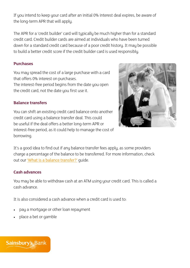If you intend to keep your card after an initial 0% interest deal expires, be aware of the long-term APR that will apply.

The APR for a 'credit builder' card will typically be much higher than for a standard credit card. Credit builder cards are aimed at individuals who have been turned down for a standard credit card because of a poor credit history. It may be possible to build a better credit score if the credit builder card is used responsibly.

### **Purchases**

You may spread the cost of a large purchase with a card that offers 0% interest on purchases. The interest-free period begins from the date you open the credit card, not the date you first use it.

### **Balance transfers**

You can shift an existing credit card balance onto another credit card using a balance transfer deal. This could be useful if the deal offers a better long-term APR or interest-free period, as it could help to manage the cost of borrowing.



It's a good idea to find out if any balance transfer fees apply, as some providers charge a percentage of the balance to be transferred. For more information, check out our ['What is a balance transfer?'](http://www.sainsburysbank.com/credit_cards/what-is-a-balance-transfer.shtml) quide.

### **Cash advances**

You may be able to withdraw cash at an ATM using your credit card. This is called a cash advance.

It is also considered a cash advance when a credit card is used to:

- pay a mortgage or other loan repayment
- place a bet or gamble

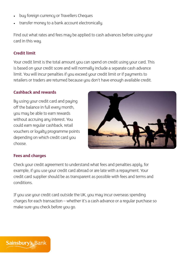- buy foreign currency or Travellers Cheques
- transfer money to a bank account electronically.

Find out what rates and fees may be applied to cash advances before using your card in this way.

### **Credit limit**

Your credit limit is the total amount you can spend on credit using your card. This is based on your credit score and will normally include a separate cash advance limit. You will incur penalties if you exceed your credit limit or if payments to retailers or traders are returned because you don't have enough available credit.

#### **Cashback and rewards**

By using your credit card and paying off the balance in full every month, you may be able to earn rewards without accruing any interest. You could earn regular cashback, retail vouchers or loyalty programme points depending on which credit card you choose.



### **Fees and charges**

Check your credit agreement to understand what fees and penalties apply, for example, if you use your credit card abroad or are late with a repayment. Your credit card supplier should be as transparent as possible with fees and terms and conditions.

If you use your credit card outside the UK, you may incur overseas spending charges for each transaction – whether it's a cash advance or a regular purchase so make sure you check before you go.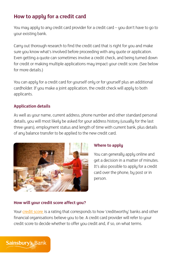# **How to apply for a credit card**

You may apply to any credit card provider for a credit card – you don't have to go to your existing bank.

Carry out thorough research to find the credit card that is right for you and make sure you know what's involved before proceeding with any quote or application. Even getting a quote can sometimes involve a credit check, and being turned down for credit or making multiple applications may impact your credit score. (See below for more details.)

You can apply for a credit card for yourself only or for yourself plus an additional cardholder. If you make a joint application, the credit check will apply to both applicants.

### **Application details**

As well as your name, current address, phone number and other standard personal details, you will most likely be asked for your address history (usually for the last three years), employment status and length of time with current bank, plus details of any balance transfer to be applied to the new credit card.



### **Where to apply**

You can generally apply online and get a decision in a matter of minutes. It's also possible to apply for a credit card over the phone, by post or in person.

### **How will your credit score affect you?**

Your [credit score](http://www.sainsburysbank.co.uk/library/default/resources/guide-to-managing-and-improving-your-credit-score.pdf) is a rating that corresponds to how 'creditworthy' banks and other financial organisations believe you to be. A credit card provider will refer to your credit score to decide whether to offer you credit and, if so, on what terms.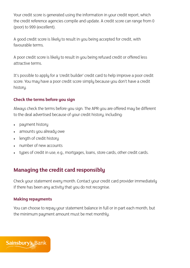Your credit score is generated using the information in your credit report, which the credit reference agencies compile and update. A credit score can range from 0 (poor) to 999 (excellent).

A good credit score is likely to result in you being accepted for credit, with favourable terms.

A poor credit score is likely to result in you being refused credit or offered less attractive terms.

It's possible to apply for a 'credit builder' credit card to help improve a poor credit score. You may have a poor credit score simply because you don't have a credit history.

### **Check the terms before you sign**

Always check the terms before you sign. The APR you are offered may be different to the deal advertised because of your credit history, including:

- payment history
- amounts you already owe
- length of credit history
- • number of new accounts
- • types of credit in use, e.g., mortgages, loans, store cards, other credit cards.

# **Managing the credit card responsibly**

Check your statement every month. Contact your credit card provider immediately if there has been any activity that you do not recognise.

### **Making repayments**

You can choose to repay your statement balance in full or in part each month, but the minimum payment amount must be met monthly.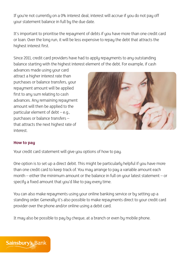If you're not currently on a 0% interest deal, interest will accrue if you do not pay off your statement balance in full by the due date.

It's important to prioritise the repayment of debts if you have more than one credit card or loan. Over the long run, it will be less expensive to repay the debt that attracts the highest interest first.

Since 2011, credit card providers have had to apply repayments to any outstanding balance starting with the highest interest element of the debt. For example, if cash

advances made using your card attract a higher interest rate than purchases or balance transfers, your repayment amount will be applied first to any sum relating to cash advances. Any remaining repayment amount will then be applied to the particular element of debt  $-e.q.,$ purchases or balance transfers – that attracts the next highest rate of interest.



#### **How to pay**

Your credit card statement will give you options of how to pay.

One option is to set up a direct debit. This might be particularly helpful if you have more than one credit card to keep track of. You may arrange to pay a variable amount each month – either the minimum amount or the balance in full on your latest statement – or specify a fixed amount that you'd like to pay every time.

You can also make repayments using your online banking service or by setting up a standing order. Generally it's also possible to make repayments direct to your credit card provider over the phone and/or online using a debit card.

It may also be possible to pay by cheque, at a branch or even by mobile phone.

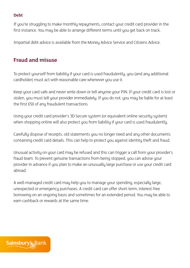### **Debt**

If you're struggling to make monthly repayments, contact your credit card provider in the first instance. You may be able to arrange different terms until you get back on track.

Impartial debt advice is available from the Money Advice Service and Citizens Advice.

# **Fraud and misuse**

To protect yourself from liability if your card is used fraudulently, you (and any additional cardholder) must act with reasonable care whenever you use it.

Keep your card safe and never write down or tell anyone your PIN. If your credit card is lost or stolen, you must tell your provider immediately. If you do not, you may be liable for at least the first £50 of any fraudulent transactions.

Using your credit card provider's 3D Secure system (or equivalent online security system) when shopping online will also protect you from liability if your card is used fraudulently.

Carefully dispose of receipts, old statements you no longer need and any other documents containing credit card details. This can help to protect you against identity theft and fraud.

Unusual activity on your card may be refused and this can trigger a call from your provider's fraud team. To prevent genuine transactions from being stopped, you can advise your provider in advance if you plan to make an unusually large purchase or use your credit card abroad.

A well-managed credit card may help you to manage your spending, especially large, unexpected or emergency purchases. A credit card can offer short-term, interest-free borrowing on an ongoing basis and sometimes for an extended period. You may be able to earn cashback or rewards at the same time.